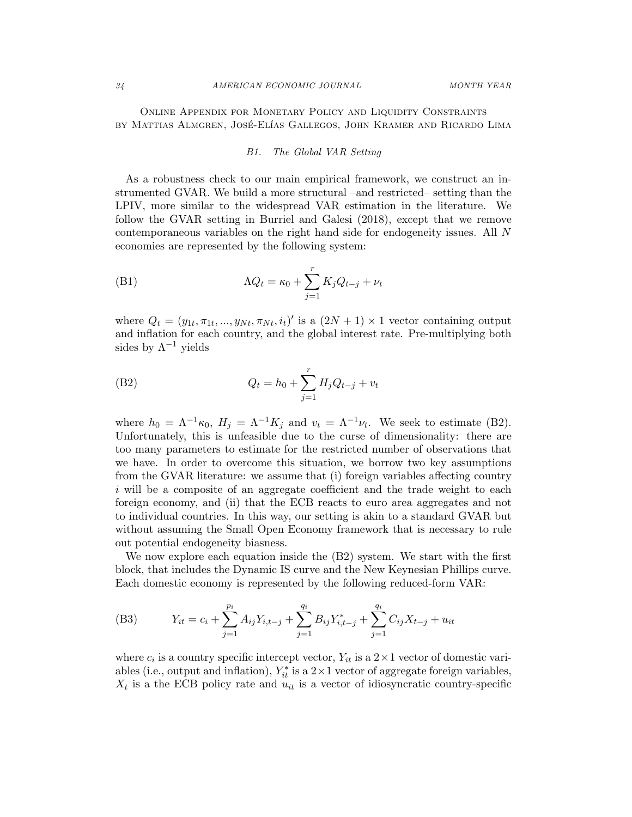Online Appendix for Monetary Policy and Liquidity Constraints by Mattias Almgren, José-Elías Gallegos, John Kramer and Ricardo Lima

### B1. The Global VAR Setting

As a robustness check to our main empirical framework, we construct an instrumented GVAR. We build a more structural –and restricted– setting than the LPIV, more similar to the widespread VAR estimation in the literature. We follow the GVAR setting in Burriel and Galesi (2018), except that we remove contemporaneous variables on the right hand side for endogeneity issues. All N economies are represented by the following system:

(B1) 
$$
\Lambda Q_t = \kappa_0 + \sum_{j=1}^r K_j Q_{t-j} + \nu_t
$$

where  $Q_t = (y_{1t}, \pi_{1t}, ..., y_{Nt}, \pi_{Nt}, i_t)'$  is a  $(2N + 1) \times 1$  vector containing output and inflation for each country, and the global interest rate. Pre-multiplying both sides by  $\Lambda^{-1}$  yields

(B2) 
$$
Q_t = h_0 + \sum_{j=1}^r H_j Q_{t-j} + v_t
$$

where  $h_0 = \Lambda^{-1} \kappa_0$ ,  $H_j = \Lambda^{-1} K_j$  and  $v_t = \Lambda^{-1} \nu_t$ . We seek to estimate (B2). Unfortunately, this is unfeasible due to the curse of dimensionality: there are too many parameters to estimate for the restricted number of observations that we have. In order to overcome this situation, we borrow two key assumptions from the GVAR literature: we assume that (i) foreign variables affecting country i will be a composite of an aggregate coefficient and the trade weight to each foreign economy, and (ii) that the ECB reacts to euro area aggregates and not to individual countries. In this way, our setting is akin to a standard GVAR but without assuming the Small Open Economy framework that is necessary to rule out potential endogeneity biasness.

We now explore each equation inside the (B2) system. We start with the first block, that includes the Dynamic IS curve and the New Keynesian Phillips curve. Each domestic economy is represented by the following reduced-form VAR:

(B3) 
$$
Y_{it} = c_i + \sum_{j=1}^{p_i} A_{ij} Y_{i,t-j} + \sum_{j=1}^{q_i} B_{ij} Y_{i,t-j}^* + \sum_{j=1}^{q_i} C_{ij} X_{t-j} + u_{it}
$$

where  $c_i$  is a country specific intercept vector,  $Y_{it}$  is a  $2 \times 1$  vector of domestic variables (i.e., output and inflation),  $Y_{it}^*$  is a  $2 \times 1$  vector of aggregate foreign variables,  $X_t$  is a the ECB policy rate and  $u_{it}$  is a vector of idiosyncratic country-specific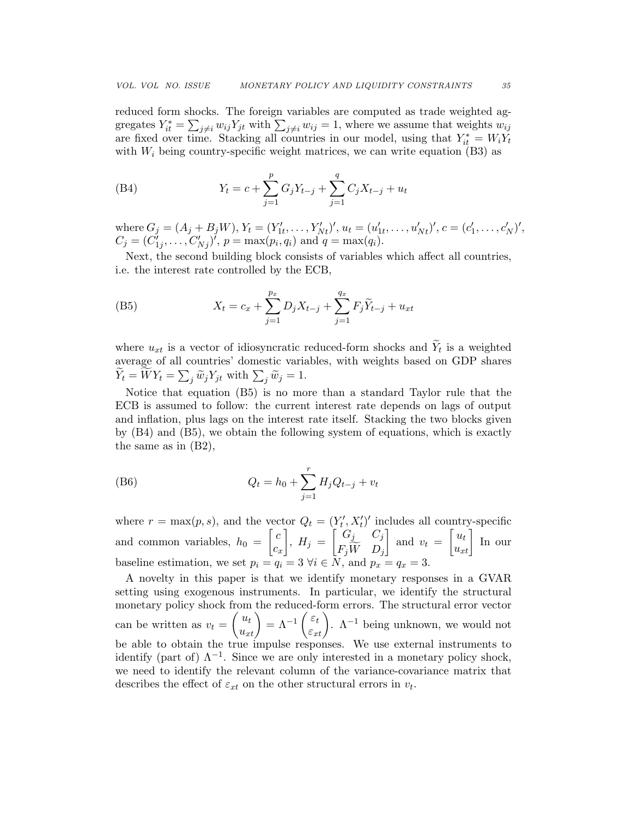reduced form shocks. The foreign variables are computed as trade weighted aggregates  $Y_{it}^* = \sum_{j \neq i} w_{ij} Y_{jt}$  with  $\sum_{j \neq i} w_{ij} = 1$ , where we assume that weights  $w_{ij}$ are fixed over time. Stacking all countries in our model, using that  $Y_{it}^* = W_i Y_t$ with  $W_i$  being country-specific weight matrices, we can write equation (B3) as

(B4) 
$$
Y_t = c + \sum_{j=1}^p G_j Y_{t-j} + \sum_{j=1}^q C_j X_{t-j} + u_t
$$

where  $G_j = (A_j + B_j W), Y_t = (Y'_{1t}, \ldots, Y'_{Nt})'$ ,  $u_t = (u'_{1t}, \ldots, u'_{Nt})'$ ,  $c = (c'_1, \ldots, c'_N)'$ ,  $C_j = (C'_{1j}, \ldots, C'_{Nj})'$ ,  $p = \max(p_i, q_i)$  and  $q = \max(q_i)$ .

Next, the second building block consists of variables which affect all countries, i.e. the interest rate controlled by the ECB,

(B5) 
$$
X_t = c_x + \sum_{j=1}^{p_x} D_j X_{t-j} + \sum_{j=1}^{q_x} F_j \widetilde{Y}_{t-j} + u_{xt}
$$

where  $u_{xt}$  is a vector of idiosyncratic reduced-form shocks and  $Y_t$  is a weighted average of all countries' domestic variables, with weights based on GDP shares  $Y_t = W Y_t = \sum_j \widetilde{w}_j Y_{jt}$  with  $\sum_j \widetilde{w}_j = 1$ .

Notice that equation (B5) is no more than a standard Taylor rule that the ECB is assumed to follow: the current interest rate depends on lags of output and inflation, plus lags on the interest rate itself. Stacking the two blocks given by (B4) and (B5), we obtain the following system of equations, which is exactly the same as in (B2),

(B6) 
$$
Q_t = h_0 + \sum_{j=1}^r H_j Q_{t-j} + v_t
$$

where  $r = \max(p, s)$ , and the vector  $Q_t = (Y'_t, X'_t)'$  includes all country-specific and common variables,  $h_0 = \begin{bmatrix} c & c \end{bmatrix}$  $\overline{c_x}$  $\Big\}, H_j = \begin{bmatrix} G_j & C_j \ \overline{F} \ \overline{W} & D \end{bmatrix}$  $F_jW D_j$ and  $v_t = \begin{bmatrix} u_t \\ u_{xt} \end{bmatrix}$  In our baseline estimation, we set  $p_i = q_i = 3 \forall i \in \overline{N}$ , and  $p_x = q_x = 3$ .

A novelty in this paper is that we identify monetary responses in a GVAR setting using exogenous instruments. In particular, we identify the structural monetary policy shock from the reduced-form errors. The structural error vector can be written as  $v_t = \begin{pmatrix} u_t \\ u_{xt} \end{pmatrix} = \Lambda^{-1} \begin{pmatrix} \varepsilon_t \\ \varepsilon_{xt} \end{pmatrix}$ .  $\Lambda^{-1}$  being unknown, we would not be able to obtain the true impulse responses. We use external instruments to identify (part of)  $\Lambda^{-1}$ . Since we are only interested in a monetary policy shock, we need to identify the relevant column of the variance-covariance matrix that describes the effect of  $\varepsilon_{xt}$  on the other structural errors in  $v_t$ .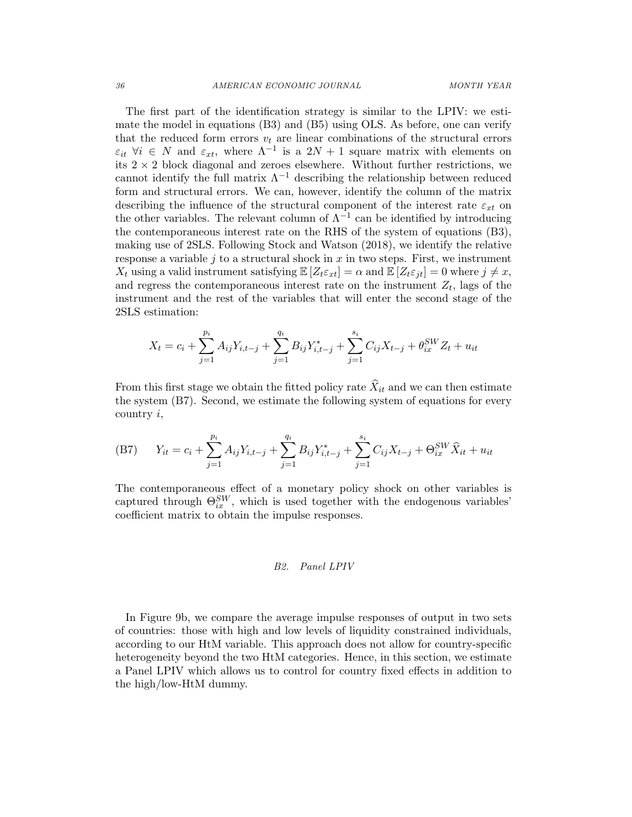The first part of the identification strategy is similar to the LPIV: we estimate the model in equations (B3) and (B5) using OLS. As before, one can verify that the reduced form errors  $v_t$  are linear combinations of the structural errors  $\varepsilon_{it}$   $\forall i \in N$  and  $\varepsilon_{xt}$ , where  $\Lambda^{-1}$  is a  $2N+1$  square matrix with elements on its  $2 \times 2$  block diagonal and zeroes elsewhere. Without further restrictions, we cannot identify the full matrix  $\Lambda^{-1}$  describing the relationship between reduced form and structural errors. We can, however, identify the column of the matrix describing the influence of the structural component of the interest rate  $\varepsilon_{xt}$  on the other variables. The relevant column of  $\Lambda^{-1}$  can be identified by introducing the contemporaneous interest rate on the RHS of the system of equations (B3), making use of 2SLS. Following Stock and Watson (2018), we identify the relative response a variable j to a structural shock in  $x$  in two steps. First, we instrument  $X_t$  using a valid instrument satisfying  $\mathbb{E}[Z_t \varepsilon_{xt}] = \alpha$  and  $\mathbb{E}[Z_t \varepsilon_{jt}] = 0$  where  $j \neq x$ , and regress the contemporaneous interest rate on the instrument  $Z_t$ , lags of the instrument and the rest of the variables that will enter the second stage of the 2SLS estimation:

$$
X_t = c_i + \sum_{j=1}^{p_i} A_{ij} Y_{i,t-j} + \sum_{j=1}^{q_i} B_{ij} Y_{i,t-j}^* + \sum_{j=1}^{s_i} C_{ij} X_{t-j} + \theta_{ix}^{SW} Z_t + u_{it}
$$

From this first stage we obtain the fitted policy rate  $\hat{X}_{it}$  and we can then estimate the system (B7). Second, we estimate the following system of equations for every country i,

(B7) 
$$
Y_{it} = c_i + \sum_{j=1}^{p_i} A_{ij} Y_{i,t-j} + \sum_{j=1}^{q_i} B_{ij} Y_{i,t-j}^* + \sum_{j=1}^{s_i} C_{ij} X_{t-j} + \Theta_{ix}^{SW} \hat{X}_{it} + u_{it}
$$

The contemporaneous effect of a monetary policy shock on other variables is captured through  $\Theta_{ix}^{SW}$ , which is used together with the endogenous variables' coefficient matrix to obtain the impulse responses.

## B2. Panel LPIV

In Figure 9b, we compare the average impulse responses of output in two sets of countries: those with high and low levels of liquidity constrained individuals, according to our HtM variable. This approach does not allow for country-specific heterogeneity beyond the two HtM categories. Hence, in this section, we estimate a Panel LPIV which allows us to control for country fixed effects in addition to the high/low-HtM dummy.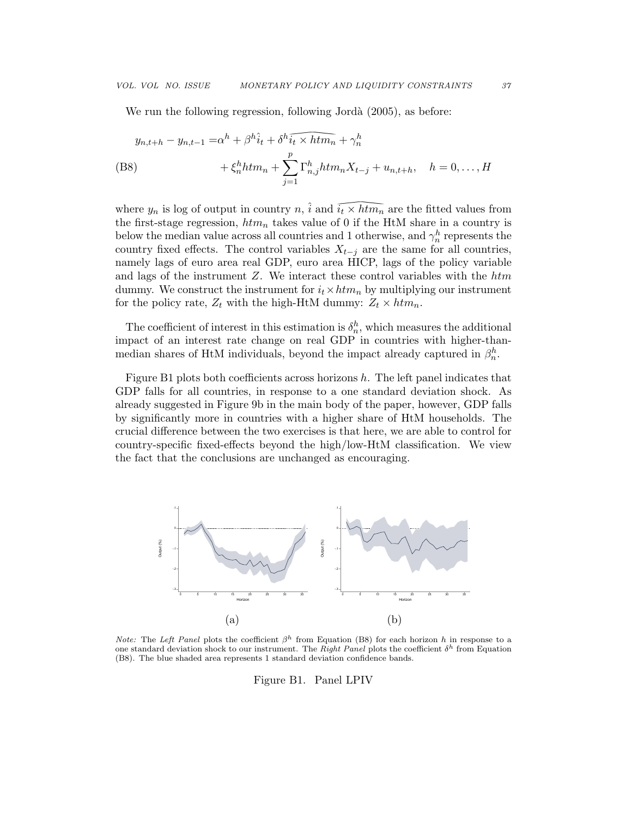We run the following regression, following Jordà (2005), as before:

$$
y_{n,t+h} - y_{n,t-1} = \alpha^h + \beta^h \hat{i}_t + \delta^h \widehat{i_t \times htm_n} + \gamma_n^h
$$
  
(B8) 
$$
+ \xi_n^h htm_n + \sum_{j=1}^p \Gamma_{n,j}^h htm_n X_{t-j} + u_{n,t+h}, \quad h = 0, \dots, H
$$

where  $y_n$  is log of output in country n,  $\hat{i}$  and  $\widehat{i_t \times htm_n}$  are the fitted values from where  $y_n$  is log of output in country  $n$ ,  $\hat{i}$  and  $\hat{i_t} \times \hat{htm_n}$  are the fitted values from<br>the first-stage regression,  $\hat{htm_n}$  takes value of 0 if the HtM share in a country is<br>below the median value across all the first-stage regression,  $\hbar t m_n$  takes value of 0 if the HtM share in a country is below the median value across all countries and 1 otherwise, and  $\gamma_n^h$  represents the namely lags of euro area real GDP, euro area HICP, lags of the policy variable and lags of the instrument  $Z$ . We interact these control variables with the  $\hbar t$ dummy. We construct the instrument for  $i_t \times h t m_n$  by multiplying our instrument for the policy rate,  $Z_t$  with the high-HtM dummy:  $Z_t \times h t m_n$ .

The coefficient of interest in this estimation is  $\delta_n^h$ , which measures the additional impact of an interest rate change on real GDP in countries with higher-thanmedian shares of HtM individuals, beyond the impact already captured in  $\beta_n^h$ .

Figure B1 plots both coefficients across horizons h. The left panel indicates that GDP falls for all countries, in response to a one standard deviation shock. As already suggested in Figure 9b in the main body of the paper, however, GDP falls by significantly more in countries with a higher share of HtM households. The crucial difference between the two exercises is that here, we are able to control for country-specific fixed-effects beyond the high/low-HtM classification. We view the fact that the conclusions are unchanged as encouraging.



*Note:* The Left Panel plots the coefficient  $\beta^h$  from Equation (B8) for each horizon h in response to a one standard deviation shock to our instrument. The Right Panel plots the coefficient  $\delta^h$  from Equation (B8). The blue shaded area represents 1 standard deviation confidence bands.

Figure B1. Panel LPIV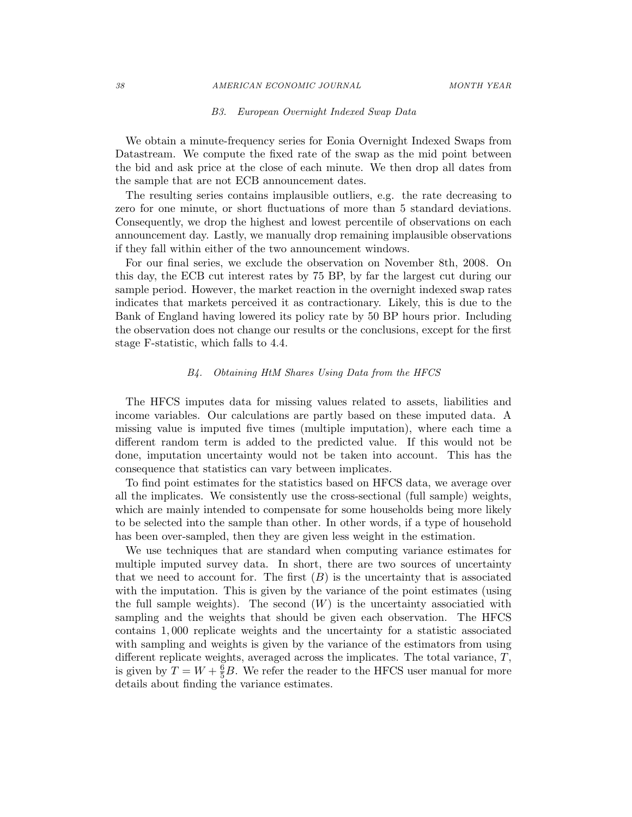#### 38 AMERICAN ECONOMIC JOURNAL MONTH YEAR

### B3. European Overnight Indexed Swap Data

We obtain a minute-frequency series for Eonia Overnight Indexed Swaps from Datastream. We compute the fixed rate of the swap as the mid point between the bid and ask price at the close of each minute. We then drop all dates from the sample that are not ECB announcement dates.

The resulting series contains implausible outliers, e.g. the rate decreasing to zero for one minute, or short fluctuations of more than 5 standard deviations. Consequently, we drop the highest and lowest percentile of observations on each announcement day. Lastly, we manually drop remaining implausible observations if they fall within either of the two announcement windows.

For our final series, we exclude the observation on November 8th, 2008. On this day, the ECB cut interest rates by 75 BP, by far the largest cut during our sample period. However, the market reaction in the overnight indexed swap rates indicates that markets perceived it as contractionary. Likely, this is due to the Bank of England having lowered its policy rate by 50 BP hours prior. Including the observation does not change our results or the conclusions, except for the first stage F-statistic, which falls to 4.4.

# B4. Obtaining HtM Shares Using Data from the HFCS

The HFCS imputes data for missing values related to assets, liabilities and income variables. Our calculations are partly based on these imputed data. A missing value is imputed five times (multiple imputation), where each time a different random term is added to the predicted value. If this would not be done, imputation uncertainty would not be taken into account. This has the consequence that statistics can vary between implicates.

To find point estimates for the statistics based on HFCS data, we average over all the implicates. We consistently use the cross-sectional (full sample) weights, which are mainly intended to compensate for some households being more likely to be selected into the sample than other. In other words, if a type of household has been over-sampled, then they are given less weight in the estimation.

We use techniques that are standard when computing variance estimates for multiple imputed survey data. In short, there are two sources of uncertainty that we need to account for. The first  $(B)$  is the uncertainty that is associated with the imputation. This is given by the variance of the point estimates (using the full sample weights). The second  $(W)$  is the uncertainty associatied with sampling and the weights that should be given each observation. The HFCS contains 1, 000 replicate weights and the uncertainty for a statistic associated with sampling and weights is given by the variance of the estimators from using different replicate weights, averaged across the implicates. The total variance, T, is given by  $T = W + \frac{6}{5}B$ . We refer the reader to the HFCS user manual for more details about finding the variance estimates.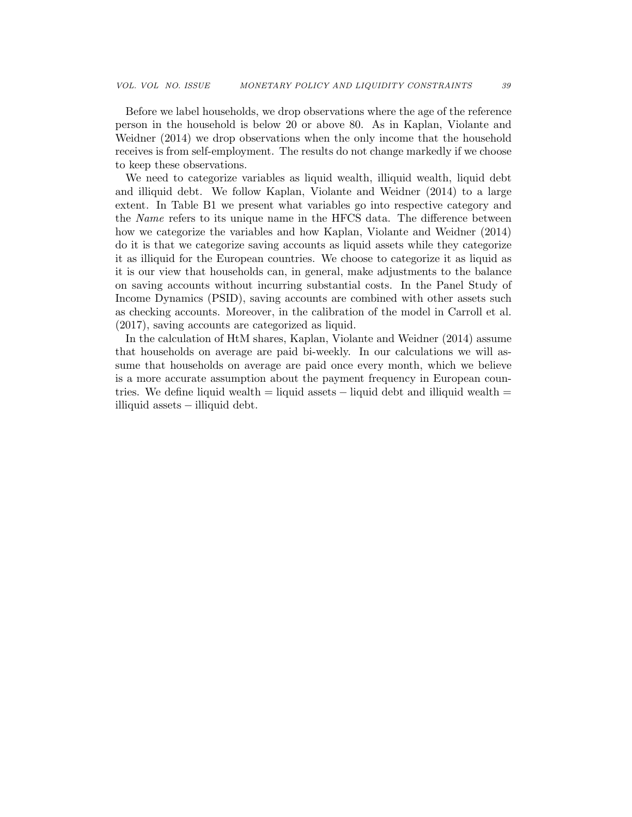Before we label households, we drop observations where the age of the reference person in the household is below 20 or above 80. As in Kaplan, Violante and Weidner (2014) we drop observations when the only income that the household receives is from self-employment. The results do not change markedly if we choose to keep these observations.

We need to categorize variables as liquid wealth, illiquid wealth, liquid debt and illiquid debt. We follow Kaplan, Violante and Weidner (2014) to a large extent. In Table B1 we present what variables go into respective category and the *Name* refers to its unique name in the HFCS data. The difference between how we categorize the variables and how Kaplan, Violante and Weidner (2014) do it is that we categorize saving accounts as liquid assets while they categorize it as illiquid for the European countries. We choose to categorize it as liquid as it is our view that households can, in general, make adjustments to the balance on saving accounts without incurring substantial costs. In the Panel Study of Income Dynamics (PSID), saving accounts are combined with other assets such as checking accounts. Moreover, in the calibration of the model in Carroll et al. (2017), saving accounts are categorized as liquid.

In the calculation of HtM shares, Kaplan, Violante and Weidner (2014) assume that households on average are paid bi-weekly. In our calculations we will assume that households on average are paid once every month, which we believe is a more accurate assumption about the payment frequency in European countries. We define liquid wealth = liquid assets  $-$  liquid debt and illiquid wealth = illiquid assets − illiquid debt.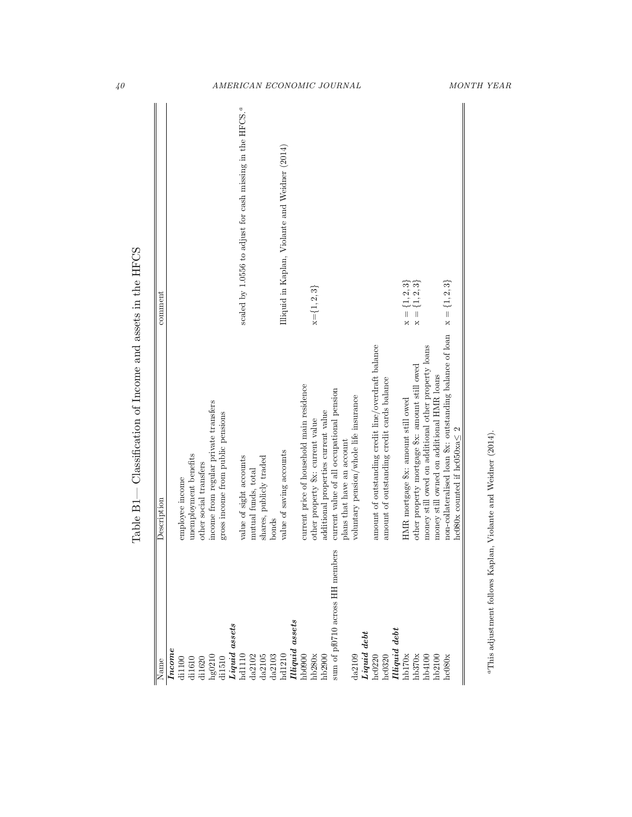| Name                                                                                                                                                                                       | Description                                              | comment                                                                      |
|--------------------------------------------------------------------------------------------------------------------------------------------------------------------------------------------|----------------------------------------------------------|------------------------------------------------------------------------------|
| Income                                                                                                                                                                                     |                                                          |                                                                              |
| di1100                                                                                                                                                                                     | employee income                                          |                                                                              |
| di1610                                                                                                                                                                                     | unemployment benefits                                    |                                                                              |
| $\begin{array}{l} \mathrm{d}11620 \\ \mathrm{hg}0210 \\ \mathrm{d}11510 \\ \textit{Liquad assets} \\ \mathrm{h}41110 \\ \mathrm{d}42102 \\ \mathrm{d}42105 \\ \mathrm{d}42105 \end{array}$ | other social transfers                                   |                                                                              |
|                                                                                                                                                                                            | income from regular private transfers                    |                                                                              |
|                                                                                                                                                                                            | gross income from public pensions                        |                                                                              |
|                                                                                                                                                                                            |                                                          |                                                                              |
|                                                                                                                                                                                            | value of sight accounts                                  | scaled by 1.0556 to adjust for cash missing in the HFCS. <sup><i>a</i></sup> |
|                                                                                                                                                                                            | mutual funds, total                                      |                                                                              |
|                                                                                                                                                                                            | shares, publicly traded                                  |                                                                              |
| da2103                                                                                                                                                                                     | bonds                                                    |                                                                              |
| hd1210                                                                                                                                                                                     | value of saving accounts                                 | Illiquid in Kaplan, Violante and Weidner (2014)                              |
| Illiquid assets                                                                                                                                                                            |                                                          |                                                                              |
| h b0900                                                                                                                                                                                    | current price of household main residence                |                                                                              |
| hb280x                                                                                                                                                                                     | other property \$x: current value                        | $x = \{1, 2, 3\}$                                                            |
| hb2900                                                                                                                                                                                     | additional properties current value                      |                                                                              |
| sum of pf0710 across HH members                                                                                                                                                            | current value of all occupational pension                |                                                                              |
|                                                                                                                                                                                            | plans that have an account                               |                                                                              |
|                                                                                                                                                                                            | voluntary pension/whole life insurance                   |                                                                              |
| $\frac{\mathrm{d}a2109}{\textit{Liquid debt}}$                                                                                                                                             |                                                          |                                                                              |
| hc0220                                                                                                                                                                                     | amount of outstanding credit line/overdraft balance      |                                                                              |
| hc0320                                                                                                                                                                                     | amount of outstanding credit cards balance               |                                                                              |
| $\begin{array}{ll} \textit{IIIiquid debt} \\ \textit{hb170x} \end{array}$                                                                                                                  |                                                          |                                                                              |
|                                                                                                                                                                                            | HMR mortgage \$x: amount still owed                      | $x =$                                                                        |
| hb370x                                                                                                                                                                                     | other property mortgage \$x: amount still owed           | $\frac{1}{x}$                                                                |
| hb4100                                                                                                                                                                                     | money still owed on additional other property loans      |                                                                              |
| hb2100                                                                                                                                                                                     | money still owned on additional HMR loans                |                                                                              |
| 1c080                                                                                                                                                                                      | non-collateralised loan \$x: outstanding balance of loan | $x = \{1, 2, 3\}$                                                            |
|                                                                                                                                                                                            | hc080x counted if $hc050xa \leq 2$                       |                                                                              |

Table  $\mathrm{B1}-$  Classification of Income and assets in the HFCS Table B1— Classification of Income and assets in the HFCS

 ${}^a\mathrm{This}$  adjustment follows Kaplan, Violante and Weidner (2014). aThis adjustment follows Kaplan, Violante and Weidner (2014).

# 40 AMERICAN ECONOMIC JOURNAL MONTH YEAR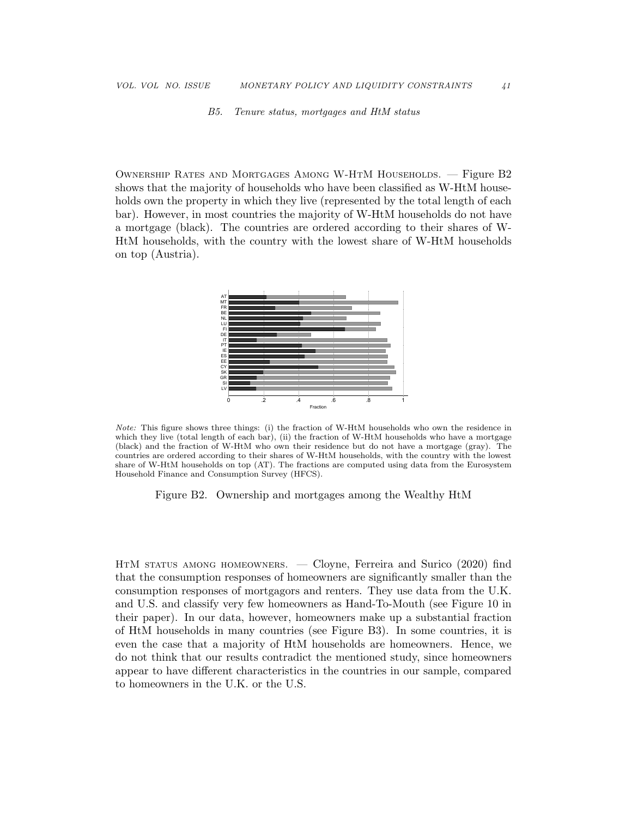B5. Tenure status, mortgages and HtM status

Ownership Rates and Mortgages Among W-HtM Households. — Figure B2 shows that the majority of households who have been classified as W-HtM households own the property in which they live (represented by the total length of each bar). However, in most countries the majority of W-HtM households do not have a mortgage (black). The countries are ordered according to their shares of W-HtM households, with the country with the lowest share of W-HtM households on top (Austria).



Note: This figure shows three things: (i) the fraction of W-HtM households who own the residence in which they live (total length of each bar), (ii) the fraction of W-HtM households who have a mortgage (black) and the fraction of W-HtM who own their residence but do not have a mortgage (gray). The countries are ordered according to their shares of W-HtM households, with the country with the lowest share of W-HtM households on top (AT). The fractions are computed using data from the Eurosystem Household Finance and Consumption Survey (HFCS).

Figure B2. Ownership and mortgages among the Wealthy HtM

HtM status among homeowners. — Cloyne, Ferreira and Surico (2020) find that the consumption responses of homeowners are significantly smaller than the consumption responses of mortgagors and renters. They use data from the U.K. and U.S. and classify very few homeowners as Hand-To-Mouth (see Figure 10 in their paper). In our data, however, homeowners make up a substantial fraction of HtM households in many countries (see Figure B3). In some countries, it is even the case that a majority of HtM households are homeowners. Hence, we do not think that our results contradict the mentioned study, since homeowners appear to have different characteristics in the countries in our sample, compared to homeowners in the U.K. or the U.S.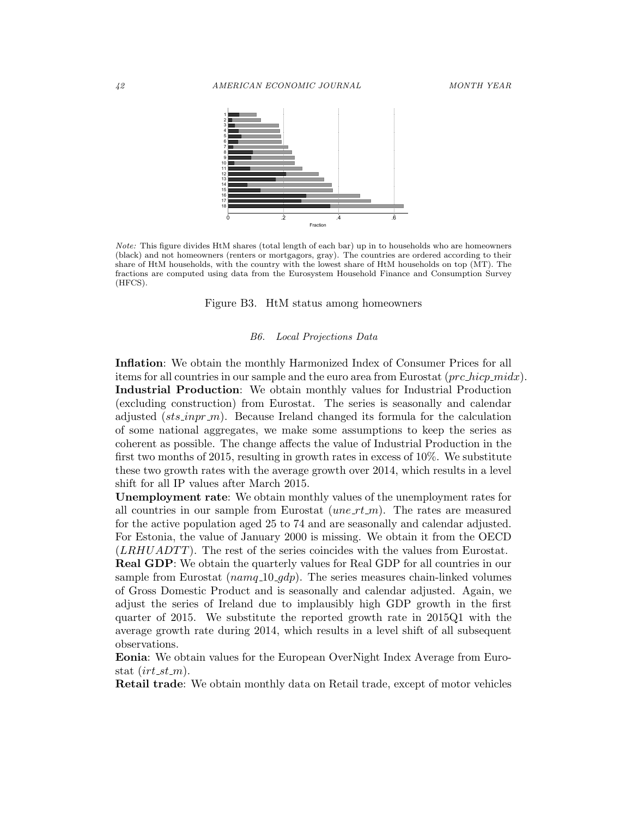

Note: This figure divides HtM shares (total length of each bar) up in to households who are homeowners (black) and not homeowners (renters or mortgagors, gray). The countries are ordered according to their share of HtM households, with the country with the lowest share of HtM households on top (MT). The fractions are computed using data from the Eurosystem Household Finance and Consumption Survey (HFCS).

Figure B3. HtM status among homeowners

#### B6. Local Projections Data

Inflation: We obtain the monthly Harmonized Index of Consumer Prices for all items for all countries in our sample and the euro area from Eurostat  $(prc\_hicp\_midx)$ . Industrial Production: We obtain monthly values for Industrial Production (excluding construction) from Eurostat. The series is seasonally and calendar adjusted ( $sts\text{-}inpr\text{-}m$ ). Because Ireland changed its formula for the calculation of some national aggregates, we make some assumptions to keep the series as coherent as possible. The change affects the value of Industrial Production in the first two months of 2015, resulting in growth rates in excess of  $10\%$ . We substitute these two growth rates with the average growth over 2014, which results in a level shift for all IP values after March 2015.

Unemployment rate: We obtain monthly values of the unemployment rates for all countries in our sample from Eurostat  $(une\_rt\_m)$ . The rates are measured for the active population aged 25 to 74 and are seasonally and calendar adjusted. For Estonia, the value of January 2000 is missing. We obtain it from the OECD  $(LRHUADTT)$ . The rest of the series coincides with the values from Eurostat.

Real GDP: We obtain the quarterly values for Real GDP for all countries in our sample from Eurostat  $(namq_1 10 \text{-} gdp)$ . The series measures chain-linked volumes of Gross Domestic Product and is seasonally and calendar adjusted. Again, we adjust the series of Ireland due to implausibly high GDP growth in the first quarter of 2015. We substitute the reported growth rate in 2015Q1 with the average growth rate during 2014, which results in a level shift of all subsequent observations.

Eonia: We obtain values for the European OverNight Index Average from Eurostat  $(irt_st_m)$ .

Retail trade: We obtain monthly data on Retail trade, except of motor vehicles